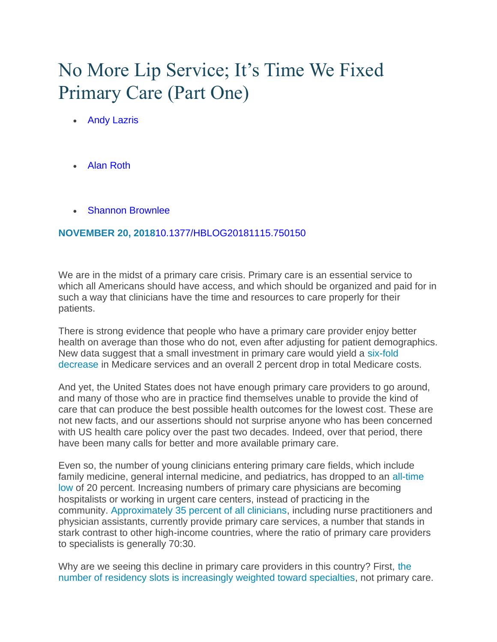# No More Lip Service; It's Time We Fixed Primary Care (Part One)

- [Andy Lazris](https://www.healthaffairs.org/do/10.1377/hauthor20181115.110464/full/)
- [Alan Roth](https://www.healthaffairs.org/do/10.1377/hauthor20181115.610292/full/)
- [Shannon Brownlee](https://www.healthaffairs.org/do/10.1377/hauthor20091106.723394/full/)

#### **NOVEMBER 20, 2018**[10.1377/HBLOG20181115.750150](https://www.healthaffairs.org/do/10.1377/hblog20181115.750150/full)

We are in the midst of a primary care crisis. Primary care is an essential service to which all Americans should have access, and which should be organized and paid for in such a way that clinicians have the time and resources to care properly for their patients.

There is strong evidence that people who have a primary care provider enjoy better health on average than those who do not, even after adjusting for patient demographics. New data suggest that a small investment in primary care would yield a [six-fold](http://www.commonwealthfund.org/~/media/files/publications/issue-brief/2012/mar/1585_reschovsky_paying_more_for_primary_care_finalv2.pdf)  [decrease](http://www.commonwealthfund.org/~/media/files/publications/issue-brief/2012/mar/1585_reschovsky_paying_more_for_primary_care_finalv2.pdf) in Medicare services and an overall 2 percent drop in total Medicare costs.

And yet, the United States does not have enough primary care providers to go around, and many of those who are in practice find themselves unable to provide the kind of care that can produce the best possible health outcomes for the lowest cost. These are not new facts, and our assertions should not surprise anyone who has been concerned with US health care policy over the past two decades. Indeed, over that period, there have been many calls for better and more available primary care.

Even so, the number of young clinicians entering primary care fields, which include family medicine, general internal medicine, and pediatrics, has dropped to an [all-time](https://www.nap.edu/read/18754/chapter/1)  [low](https://www.nap.edu/read/18754/chapter/1) of 20 percent. Increasing numbers of primary care physicians are becoming hospitalists or working in urgent care centers, instead of practicing in the community. [Approximately 35 percent of all clinicians,](https://www.aafp.org/dam/AAFP/documents/media_center/charts-graphs/no-pricare-phys.pdf) including nurse practitioners and physician assistants, currently provide primary care services, a number that stands in stark contrast to other high-income countries, where the ratio of primary care providers to specialists is generally 70:30.

Why are we seeing this decline in primary care providers in this country? First, [the](https://www.nejm.org/doi/full/10.1056/NEJMp068155)  [number of residency slots is increasingly weighted toward specialties,](https://www.nejm.org/doi/full/10.1056/NEJMp068155) not primary care.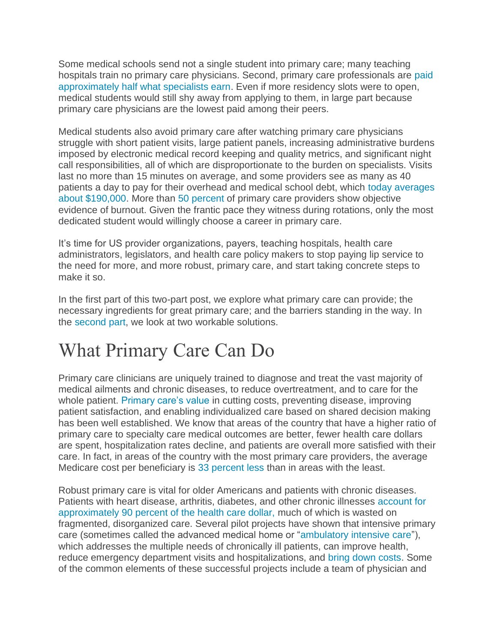Some medical schools send not a single student into primary care; many teaching hospitals train no primary care physicians. Second, primary care professionals are [paid](https://www.nejm.org/doi/full/10.1056/NEJMp068155)  [approximately half what specialists earn.](https://www.nejm.org/doi/full/10.1056/NEJMp068155) Even if more residency slots were to open, medical students would still shy away from applying to them, in large part because primary care physicians are the lowest paid among their peers.

Medical students also avoid primary care after watching primary care physicians struggle with short patient visits, large patient panels, increasing administrative burdens imposed by electronic medical record keeping and quality metrics, and significant night call responsibilities, all of which are disproportionate to the burden on specialists. Visits last no more than 15 minutes on average, and some providers see as many as 40 patients a day to pay for their overhead and medical school debt, which [today averages](https://www.studentdebtrelief.us/news/average-medical-school-debt)  [about \\$190,000.](https://www.studentdebtrelief.us/news/average-medical-school-debt) More than [50 percent](https://www.aafp.org/fpm/2015/0900/p42.html) of primary care providers show objective evidence of burnout. Given the frantic pace they witness during rotations, only the most dedicated student would willingly choose a career in primary care.

It's time for US provider organizations, payers, teaching hospitals, health care administrators, legislators, and health care policy makers to stop paying lip service to the need for more, and more robust, primary care, and start taking concrete steps to make it so.

In the first part of this two-part post, we explore what primary care can provide; the necessary ingredients for great primary care; and the barriers standing in the way. In the [second part,](https://www.healthaffairs.org/do/10.1377/hblog20181115.163117/full/) we look at two workable solutions.

## What Primary Care Can Do

Primary care clinicians are uniquely trained to diagnose and treat the vast majority of medical ailments and chronic diseases, to reduce overtreatment, and to care for the whole patient. [Primary care's value](https://www.jhsph.edu/research/centers-and-institutes/johns-hopkins-primary-care-policy-center/Publications_PDFs/2005%20HA%202.pdf) in cutting costs, preventing disease, improving patient satisfaction, and enabling individualized care based on shared decision making has been well established. We know that areas of the country that have a higher ratio of primary care to specialty care medical outcomes are better, fewer health care dollars are spent, hospitalization rates decline, and patients are overall more satisfied with their care. In fact, in areas of the country with the most primary care providers, the average Medicare cost per beneficiary is [33 percent less](https://www.graham-center.org/content/dam/rgc/documents/publications-reports/presentations/universal-primary-care.pdf) than in areas with the least.

Robust primary care is vital for older Americans and patients with chronic diseases. Patients with heart disease, arthritis, diabetes, and other chronic illnesses [account for](https://www.cdc.gov/chronicdisease/about/costs/index.htm)  [approximately 90 percent of the health care dollar,](https://www.cdc.gov/chronicdisease/about/costs/index.htm) much of which is wasted on fragmented, disorganized care. Several pilot projects have shown that intensive primary care (sometimes called the advanced medical home or ["ambulatory intensive care"](https://www.chcs.org/media/HighUtilizerReport_102413_Final3.pdf)), which addresses the multiple needs of chronically ill patients, can improve health, reduce emergency department visits and hospitalizations, and [bring down costs.](https://www.ajmc.com/journals/ajac/2017/2017-vol5-n3/population-health-in-primary-care-cost-quality-and-experience-impact) Some of the common elements of these successful projects include a team of physician and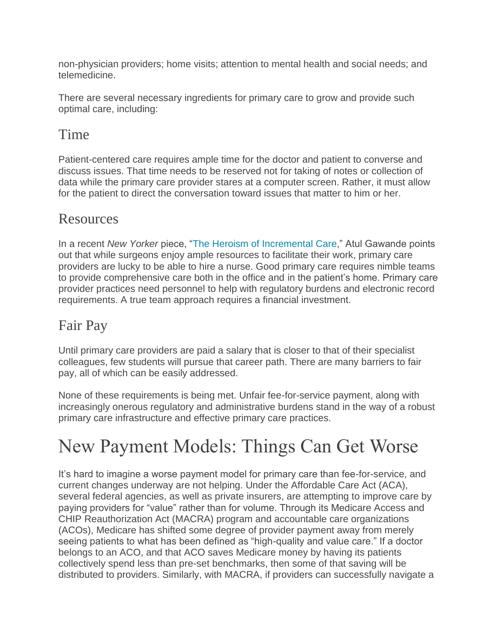non-physician providers; home visits; attention to mental health and social needs; and telemedicine.

There are several necessary ingredients for primary care to grow and provide such optimal care, including:

### Time

Patient-centered care requires ample time for the doctor and patient to converse and discuss issues. That time needs to be reserved not for taking of notes or collection of data while the primary care provider stares at a computer screen. Rather, it must allow for the patient to direct the conversation toward issues that matter to him or her.

#### Resources

In a recent *New Yorker* piece, ["The Heroism of Incremental Care,](https://www.newyorker.com/magazine/2017/01/23/the-heroism-of-incremental-care)" Atul Gawande points out that while surgeons enjoy ample resources to facilitate their work, primary care providers are lucky to be able to hire a nurse. Good primary care requires nimble teams to provide comprehensive care both in the office and in the patient's home. Primary care provider practices need personnel to help with regulatory burdens and electronic record requirements. A true team approach requires a financial investment.

#### Fair Pay

Until primary care providers are paid a salary that is closer to that of their specialist colleagues, few students will pursue that career path. There are many barriers to fair pay, all of which can be easily addressed.

None of these requirements is being met. Unfair fee-for-service payment, along with increasingly onerous regulatory and administrative burdens stand in the way of a robust primary care infrastructure and effective primary care practices.

# New Payment Models: Things Can Get Worse

It's hard to imagine a worse payment model for primary care than fee-for-service, and current changes underway are not helping. Under the Affordable Care Act (ACA), several federal agencies, as well as private insurers, are attempting to improve care by paying providers for "value" rather than for volume. Through its Medicare Access and CHIP Reauthorization Act (MACRA) program and accountable care organizations (ACOs), Medicare has shifted some degree of provider payment away from merely seeing patients to what has been defined as "high-quality and value care." If a doctor belongs to an ACO, and that ACO saves Medicare money by having its patients collectively spend less than pre-set benchmarks, then some of that saving will be distributed to providers. Similarly, with MACRA, if providers can successfully navigate a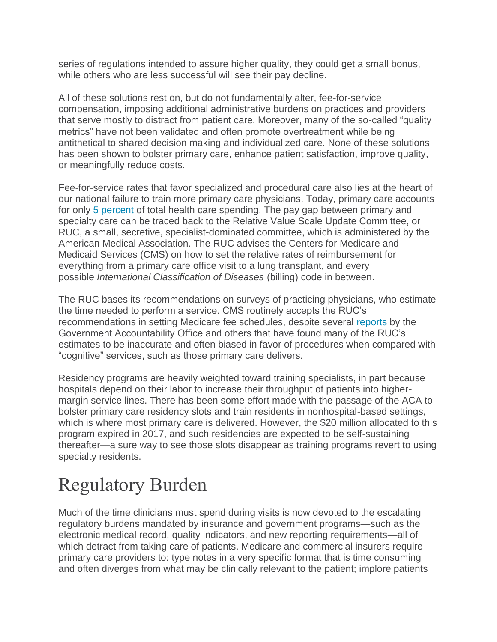series of regulations intended to assure higher quality, they could get a small bonus, while others who are less successful will see their pay decline.

All of these solutions rest on, but do not fundamentally alter, fee-for-service compensation, imposing additional administrative burdens on practices and providers that serve mostly to distract from patient care. Moreover, many of the so-called "quality metrics" have not been validated and often promote overtreatment while being antithetical to shared decision making and individualized care. None of these solutions has been shown to bolster primary care, enhance patient satisfaction, improve quality, or meaningfully reduce costs.

Fee-for-service rates that favor specialized and procedural care also lies at the heart of our national failure to train more primary care physicians. Today, primary care accounts for only [5 percent](https://www.kff.org/health-costs/issue-brief/health-care-costs-a-primer/) of total health care spending. The pay gap between primary and specialty care can be traced back to the Relative Value Scale Update Committee, or RUC, a small, secretive, specialist-dominated committee, which is administered by the American Medical Association. The RUC advises the Centers for Medicare and Medicaid Services (CMS) on how to set the relative rates of reimbursement for everything from a primary care office visit to a lung transplant, and every possible *International Classification of Diseases* (billing) code in between.

The RUC bases its recommendations on surveys of practicing physicians, who estimate the time needed to perform a service. CMS routinely accepts the RUC's recommendations in setting Medicare fee schedules, despite several [reports](https://www.gao.gov/assets/680/670366.pdf) by the Government Accountability Office and others that have found many of the RUC's estimates to be inaccurate and often biased in favor of procedures when compared with "cognitive" services, such as those primary care delivers.

Residency programs are heavily weighted toward training specialists, in part because hospitals depend on their labor to increase their throughput of patients into highermargin service lines. There has been some effort made with the passage of the ACA to bolster primary care residency slots and train residents in nonhospital-based settings, which is where most primary care is delivered. However, the \$20 million allocated to this program expired in 2017, and such residencies are expected to be self-sustaining thereafter—a sure way to see those slots disappear as training programs revert to using specialty residents.

# Regulatory Burden

Much of the time clinicians must spend during visits is now devoted to the escalating regulatory burdens mandated by insurance and government programs—such as the electronic medical record, quality indicators, and new reporting requirements—all of which detract from taking care of patients. Medicare and commercial insurers require primary care providers to: type notes in a very specific format that is time consuming and often diverges from what may be clinically relevant to the patient; implore patients